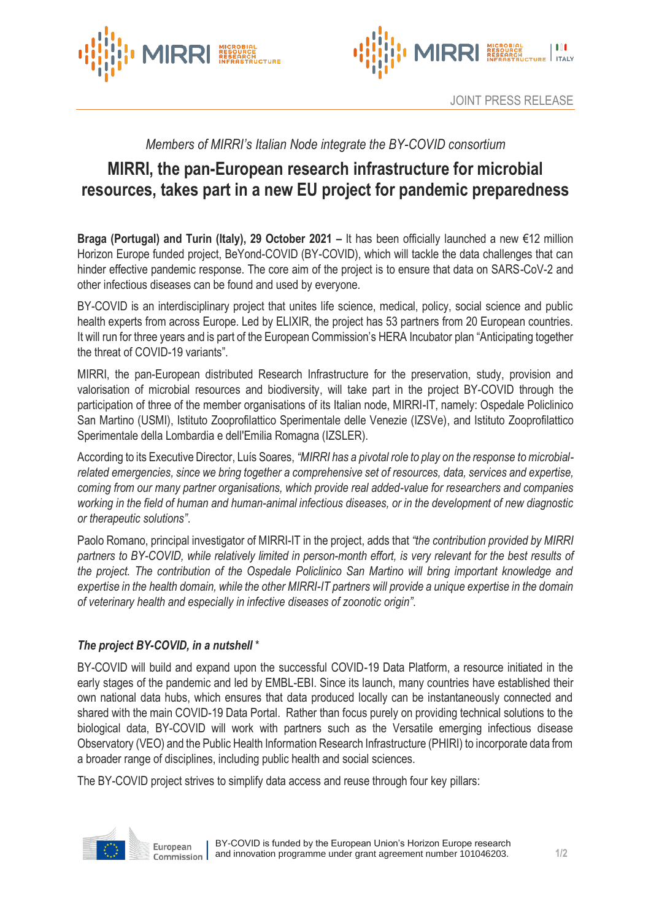



# *Members of MIRRI's Italian Node integrate the BY-COVID consortium*

# **MIRRI, the pan-European research infrastructure for microbial resources, takes part in a new EU project for pandemic preparedness**

**Braga (Portugal) and Turin (Italy), 29 October 2021 –** It has been officially launched a new €12 million Horizon Europe funded project, BeYond-COVID (BY-COVID), which will tackle the data challenges that can hinder effective pandemic response. The core aim of the project is to ensure that data on SARS-CoV-2 and other infectious diseases can be found and used by everyone.

BY-COVID is an interdisciplinary project that unites life science, medical, policy, social science and public health experts from across Europe. Led by ELIXIR, the project has 53 partners from 20 European countries. It will run for three years and is part of the European Commission's HERA Incubator plan "Anticipating together the threat of COVID-19 variants".

MIRRI, the pan-European distributed Research Infrastructure for the preservation, study, provision and valorisation of microbial resources and biodiversity, will take part in the project BY-COVID through the participation of three of the member organisations of its Italian node, MIRRI-IT, namely: Ospedale Policlinico San Martino (USMI), Istituto Zooprofilattico Sperimentale delle Venezie (IZSVe), and Istituto Zooprofilattico Sperimentale della Lombardia e dell'Emilia Romagna (IZSLER).

According to its Executive Director, Luís Soares, *"MIRRI has a pivotal role to play on the response to microbialrelated emergencies, since we bring together a comprehensive set of resources, data, services and expertise, coming from our many partner organisations, which provide real added-value for researchers and companies working in the field of human and human-animal infectious diseases, or in the development of new diagnostic or therapeutic solutions"*.

Paolo Romano, principal investigator of MIRRI-IT in the project, adds that *"the contribution provided by MIRRI partners to BY-COVID, while relatively limited in person-month effort, is very relevant for the best results of the project. The contribution of the Ospedale Policlinico San Martino will bring important knowledge and expertise in the health domain, while the other MIRRI-IT partners will provide a unique expertise in the domain of veterinary health and especially in infective diseases of zoonotic origin"*.

## *The project BY-COVID, in a nutshell* \*

BY-COVID will build and expand upon the successful COVID-19 Data Platform, a resource initiated in the early stages of the pandemic and led by EMBL-EBI. Since its launch, many countries have established their own national data hubs, which ensures that data produced locally can be instantaneously connected and shared with the main COVID-19 Data Portal. Rather than focus purely on providing technical solutions to the biological data, BY-COVID will work with partners such as the Versatile emerging infectious disease Observatory (VEO) and the Public Health Information Research Infrastructure (PHIRI) to incorporate data from a broader range of disciplines, including public health and social sciences.

The BY-COVID project strives to simplify data access and reuse through four key pillars: